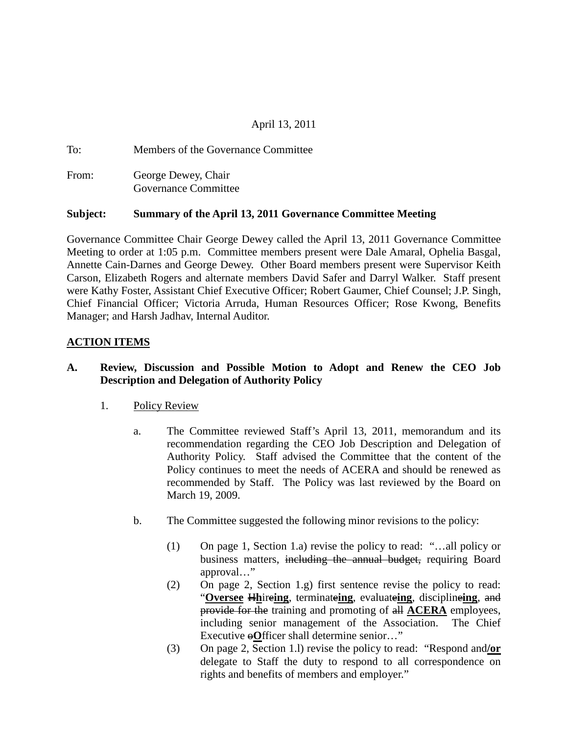## April 13, 2011

To: Members of the Governance Committee From: George Dewey, Chair Governance Committee

#### **Subject: Summary of the April 13, 2011 Governance Committee Meeting**

Governance Committee Chair George Dewey called the April 13, 2011 Governance Committee Meeting to order at 1:05 p.m. Committee members present were Dale Amaral, Ophelia Basgal, Annette Cain-Darnes and George Dewey. Other Board members present were Supervisor Keith Carson, Elizabeth Rogers and alternate members David Safer and Darryl Walker. Staff present were Kathy Foster, Assistant Chief Executive Officer; Robert Gaumer, Chief Counsel; J.P. Singh, Chief Financial Officer; Victoria Arruda, Human Resources Officer; Rose Kwong, Benefits Manager; and Harsh Jadhav, Internal Auditor.

#### **ACTION ITEMS**

### **A. Review, Discussion and Possible Motion to Adopt and Renew the CEO Job Description and Delegation of Authority Policy**

#### 1. Policy Review

- a. The Committee reviewed Staff's April 13, 2011, memorandum and its recommendation regarding the CEO Job Description and Delegation of Authority Policy. Staff advised the Committee that the content of the Policy continues to meet the needs of ACERA and should be renewed as recommended by Staff. The Policy was last reviewed by the Board on March 19, 2009.
- b. The Committee suggested the following minor revisions to the policy:
	- (1) On page 1, Section 1.a) revise the policy to read: "…all policy or business matters, including the annual budget, requiring Board approval…"
	- (2) On page 2, Section 1.g) first sentence revise the policy to read: "**Oversee** H**h**ire**ing**, terminate**ing**, evaluate**ing**, discipline**ing**, and provide for the training and promoting of all **ACERA** employees, including senior management of the Association. The Chief Executive <del>⊕</del>Officer shall determine senior..."
	- (3) On page 2, Section 1.l) revise the policy to read: "Respond and**/or** delegate to Staff the duty to respond to all correspondence on rights and benefits of members and employer."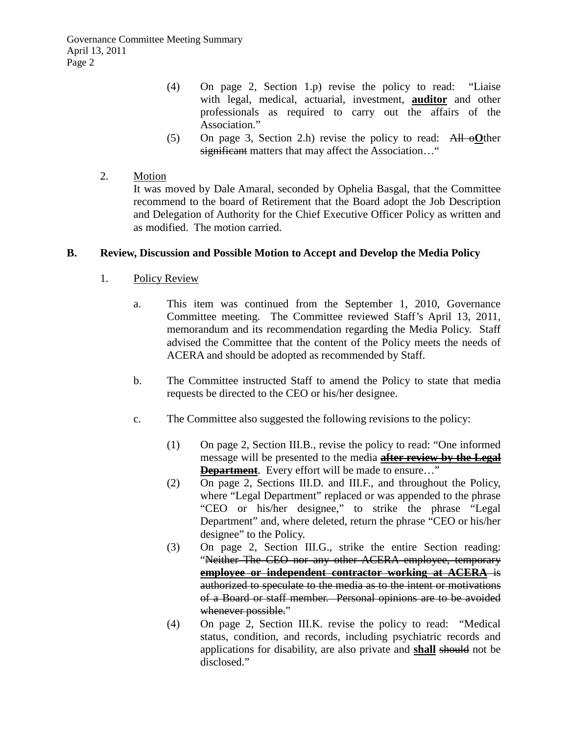Governance Committee Meeting Summary April 13, 2011 Page 2

- (4) On page 2, Section 1.p) revise the policy to read: "Liaise with legal, medical, actuarial, investment, **auditor** and other professionals as required to carry out the affairs of the Association."
- (5) On page 3, Section 2.h) revise the policy to read: All o**O**ther significant matters that may affect the Association..."
- 2. Motion

It was moved by Dale Amaral, seconded by Ophelia Basgal, that the Committee recommend to the board of Retirement that the Board adopt the Job Description and Delegation of Authority for the Chief Executive Officer Policy as written and as modified. The motion carried.

#### **B. Review, Discussion and Possible Motion to Accept and Develop the Media Policy**

- 1. Policy Review
	- a. This item was continued from the September 1, 2010, Governance Committee meeting. The Committee reviewed Staff's April 13, 2011, memorandum and its recommendation regarding the Media Policy. Staff advised the Committee that the content of the Policy meets the needs of ACERA and should be adopted as recommended by Staff.
	- b. The Committee instructed Staff to amend the Policy to state that media requests be directed to the CEO or his/her designee.
	- c. The Committee also suggested the following revisions to the policy:
		- (1) On page 2, Section III.B., revise the policy to read: "One informed message will be presented to the media **after review by the Legal Department**. Every effort will be made to ensure..."
		- (2) On page 2, Sections III.D. and III.F., and throughout the Policy, where "Legal Department" replaced or was appended to the phrase "CEO or his/her designee," to strike the phrase "Legal Department" and, where deleted, return the phrase "CEO or his/her designee" to the Policy.
		- (3) On page 2, Section III.G., strike the entire Section reading: "Neither The CEO nor any other ACERA employee, temporary **employee or independent contractor working at ACERA** is authorized to speculate to the media as to the intent or motivations of a Board or staff member. Personal opinions are to be avoided whenever possible."
		- (4) On page 2, Section III.K. revise the policy to read: "Medical status, condition, and records, including psychiatric records and applications for disability, are also private and **shall** should not be disclosed."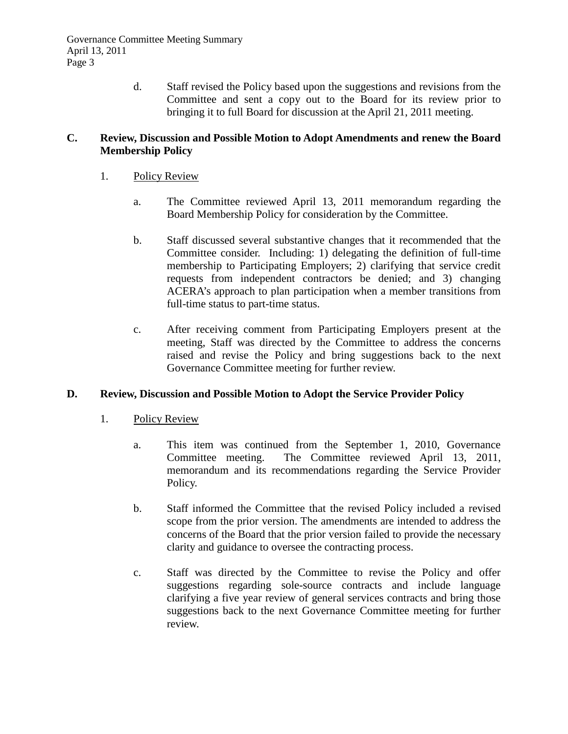d. Staff revised the Policy based upon the suggestions and revisions from the Committee and sent a copy out to the Board for its review prior to bringing it to full Board for discussion at the April 21, 2011 meeting.

#### **C. Review, Discussion and Possible Motion to Adopt Amendments and renew the Board Membership Policy**

- 1. Policy Review
	- a. The Committee reviewed April 13, 2011 memorandum regarding the Board Membership Policy for consideration by the Committee.
	- b. Staff discussed several substantive changes that it recommended that the Committee consider. Including: 1) delegating the definition of full-time membership to Participating Employers; 2) clarifying that service credit requests from independent contractors be denied; and 3) changing ACERA's approach to plan participation when a member transitions from full-time status to part-time status.
	- c. After receiving comment from Participating Employers present at the meeting, Staff was directed by the Committee to address the concerns raised and revise the Policy and bring suggestions back to the next Governance Committee meeting for further review.

### **D. Review, Discussion and Possible Motion to Adopt the Service Provider Policy**

- 1. Policy Review
	- a. This item was continued from the September 1, 2010, Governance Committee meeting. The Committee reviewed April 13, 2011, memorandum and its recommendations regarding the Service Provider Policy.
	- b. Staff informed the Committee that the revised Policy included a revised scope from the prior version. The amendments are intended to address the concerns of the Board that the prior version failed to provide the necessary clarity and guidance to oversee the contracting process.
	- c. Staff was directed by the Committee to revise the Policy and offer suggestions regarding sole-source contracts and include language clarifying a five year review of general services contracts and bring those suggestions back to the next Governance Committee meeting for further review.